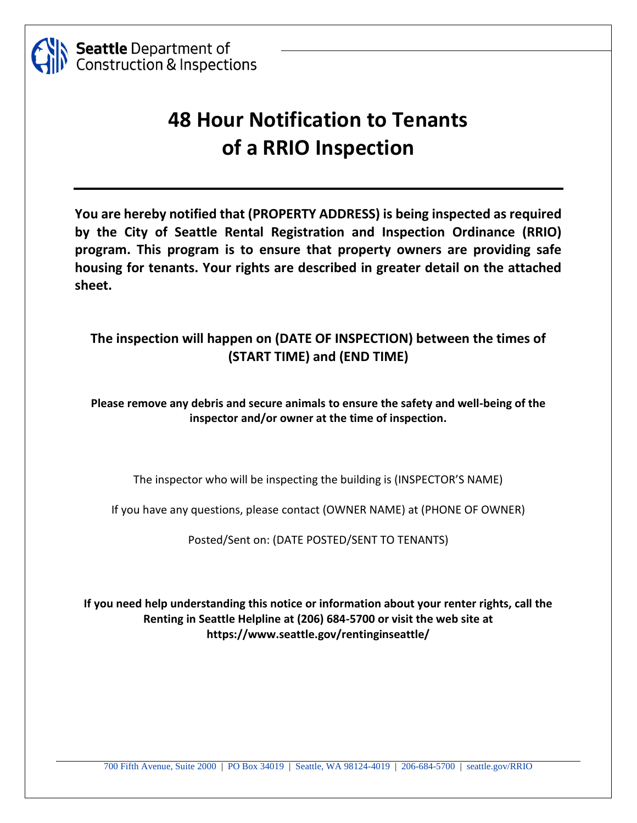

## **48 Hour Notification to Tenants of a RRIO Inspection**

**You are hereby notified that (PROPERTY ADDRESS) is being inspected as required by the City of Seattle Rental Registration and Inspection Ordinance (RRIO) program. This program is to ensure that property owners are providing safe housing for tenants. Your rights are described in greater detail on the attached sheet.** 

### **The inspection will happen on (DATE OF INSPECTION) between the times of (START TIME) and (END TIME)**

**Please remove any debris and secure animals to ensure the safety and well-being of the inspector and/or owner at the time of inspection.**

The inspector who will be inspecting the building is (INSPECTOR'S NAME)

If you have any questions, please contact (OWNER NAME) at (PHONE OF OWNER)

Posted/Sent on: (DATE POSTED/SENT TO TENANTS)

**If you need help understanding this notice or information about your renter rights, call the Renting in Seattle Helpline at (206) 684-5700 or visit the web site at https://www.seattle.gov/rentinginseattle/**